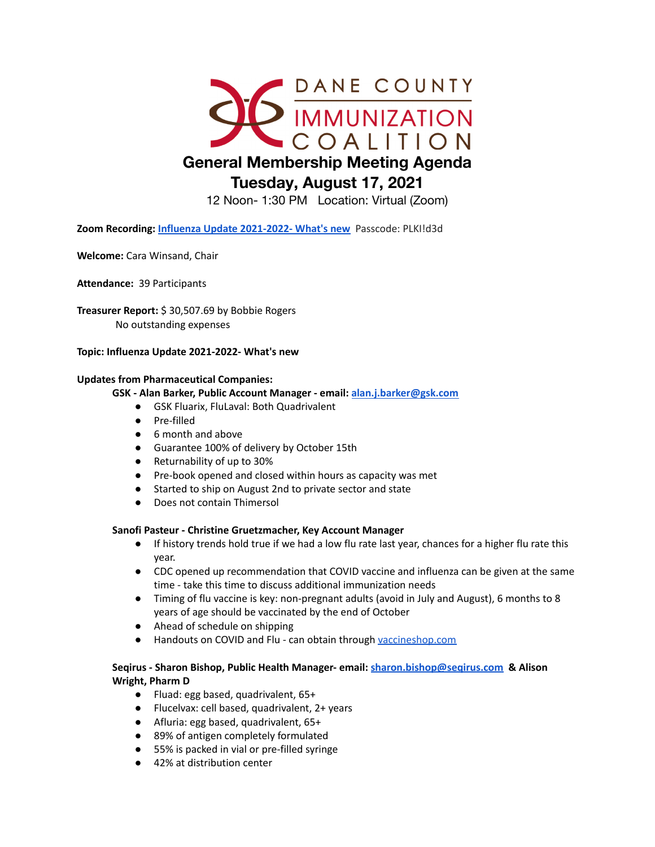

12 Noon- 1:30 PM Location: Virtual (Zoom)

**Zoom Recording: [Influenza Update 2021-2022- What's](https://us02web.zoom.us/rec/share/1Rqcs2Jk8GBkJvfMsJBPnxGysVX0N7QcPIkeLp8AO8Q9b9AKO8EaUeXEnc7hxF8z.q6XZeKlqLOgqAog0) new** Passcode: PLKI!d3d

**Welcome:** Cara Winsand, Chair

**Attendance:** 39 Participants

**Treasurer Report:** \$ 30,507.69 by Bobbie Rogers No outstanding expenses

#### **Topic: Influenza Update 2021-2022- What's new**

#### **Updates from Pharmaceutical Companies:**

#### **GSK - Alan Barker, Public Account Manager - email: [alan.j.barker@gsk.com](mailto:alan.j.barker@gsk.com)**

- GSK Fluarix, FluLaval: Both Quadrivalent
- Pre-filled
- 6 month and above
- Guarantee 100% of delivery by October 15th
- Returnability of up to 30%
- Pre-book opened and closed within hours as capacity was met
- Started to ship on August 2nd to private sector and state
- Does not contain Thimersol

### **Sanofi Pasteur - Christine Gruetzmacher, Key Account Manager**

- If history trends hold true if we had a low flu rate last year, chances for a higher flu rate this year.
- CDC opened up recommendation that COVID vaccine and influenza can be given at the same time - take this time to discuss additional immunization needs
- Timing of flu vaccine is key: non-pregnant adults (avoid in July and August), 6 months to 8 years of age should be vaccinated by the end of October
- Ahead of schedule on shipping
- Handouts on COVID and Flu can obtain through [vaccineshop.com](https://www.vaccineshoppe.com/us/vsh/en/USD/resources/category/mostpopular)

## **Seqirus - Sharon Bishop, Public Health Manager- email: [sharon.bishop@seqirus.com](mailto:sharon.bishop@seqirus.com) & Alison Wright, Pharm D**

- Fluad: egg based, quadrivalent, 65+
- Flucelvax: cell based, quadrivalent, 2+ years
- Afluria: egg based, quadrivalent, 65+
- 89% of antigen completely formulated
- 55% is packed in vial or pre-filled syringe
- 42% at distribution center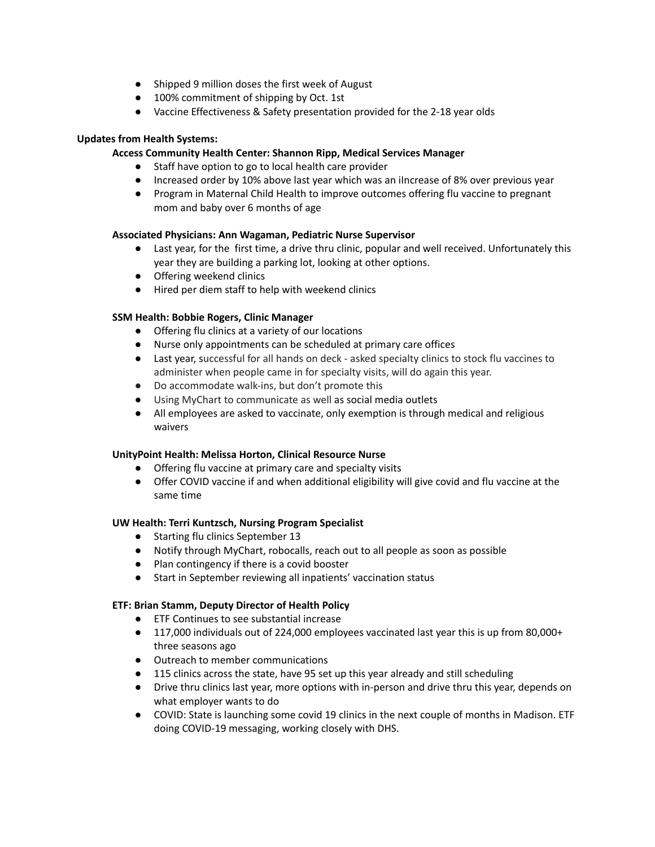- Shipped 9 million doses the first week of August
- 100% commitment of shipping by Oct. 1st
- Vaccine Effectiveness & Safety presentation provided for the 2-18 year olds

# **Updates from Health Systems:**

## **Access Community Health Center: Shannon Ripp, Medical Services Manager**

- Staff have option to go to local health care provider
- Increased order by 10% above last year which was an iIncrease of 8% over previous year
- Program in Maternal Child Health to improve outcomes offering flu vaccine to pregnant mom and baby over 6 months of age

## **Associated Physicians: Ann Wagaman, Pediatric Nurse Supervisor**

- Last year, for the first time, a drive thru clinic, popular and well received. Unfortunately this year they are building a parking lot, looking at other options.
- Offering weekend clinics
- Hired per diem staff to help with weekend clinics

## **SSM Health: Bobbie Rogers, Clinic Manager**

- Offering flu clinics at a variety of our locations
- Nurse only appointments can be scheduled at primary care offices
- Last year, successful for all hands on deck asked specialty clinics to stock flu vaccines to administer when people came in for specialty visits, will do again this year.
- Do accommodate walk-ins, but don't promote this
- Using MyChart to communicate as well as social media outlets
- All employees are asked to vaccinate, only exemption is through medical and religious waivers

### **UnityPoint Health: Melissa Horton, Clinical Resource Nurse**

- Offering flu vaccine at primary care and specialty visits
- Offer COVID vaccine if and when additional eligibility will give covid and flu vaccine at the same time

### **UW Health: Terri Kuntzsch, Nursing Program Specialist**

- Starting flu clinics September 13
- Notify through MyChart, robocalls, reach out to all people as soon as possible
- Plan contingency if there is a covid booster
- Start in September reviewing all inpatients' vaccination status

# **ETF: Brian Stamm, Deputy Director of Health Policy**

- ETF Continues to see substantial increase
- 117,000 individuals out of 224,000 employees vaccinated last year this is up from 80,000+ three seasons ago
- Outreach to member communications
- 115 clinics across the state, have 95 set up this year already and still scheduling
- Drive thru clinics last year, more options with in-person and drive thru this year, depends on what employer wants to do
- COVID: State is launching some covid 19 clinics in the next couple of months in Madison. ETF doing COVID-19 messaging, working closely with DHS.